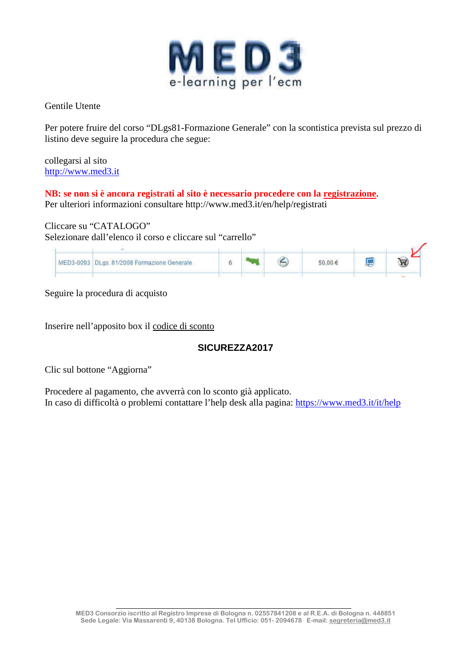

Gentile Utente

Per potere fruire del corso "DLgs81-Formazione Generale" con la scontistica prevista sul prezzo di listino deve seguire la procedura che segue:

collegarsi al sito http://www.med3.it

**NB: se non si è ancora registrati al sito è necessario procedere con la registrazione.**  Per ulteriori informazioni consultare http://www.med3.it/en/help/registrati

### Cliccare su "CATALOGO"

Selezionare dall'elenco il corso e cliccare sul "carrello"

|  | MED3-0093 DLgs. 81/2008 Formazione Generale |  | $00 \in$ |  |  |
|--|---------------------------------------------|--|----------|--|--|
|  |                                             |  |          |  |  |

Seguire la procedura di acquisto

Inserire nell'apposito box il codice di sconto

# **SICUREZZA2017**

Clic sul bottone "Aggiorna"

Procedere al pagamento, che avverrà con lo sconto già applicato. In caso di difficoltà o problemi contattare l'help desk alla pagina: https://www.med3.it/it/help